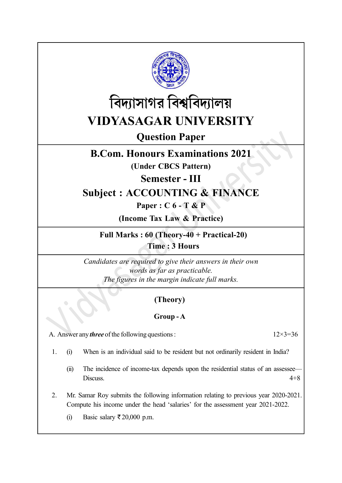



Question Paper

# B.Com. Honours Examinations 2021

(Under CBCS Pattern)

Semester - III

# Subject : ACCOUNTING & FINANCE

Paper : C 6 - T & P

(Income Tax Law & Practice)

Full Marks : 60 (Theory-40 + Practical-20) Time : 3 Hours

Candidates are required to give their answers in their own words as far as practicable. The figures in the margin indicate full marks.

## (Theory)

### Group - A

A. Answer any *three* of the following questions :  $12 \times 3 = 36$ 

- 1. (i) When is an individual said to be resident but not ordinarily resident in India?
	- (ii) The incidence of income-tax depends upon the residential status of an assessee— Discuss.  $4+8$
- 2. Mr. Samar Roy submits the following information relating to previous year 2020-2021. Compute his income under the head 'salaries' for the assessment year 2021-2022.
	- (i) Basic salary  $\overline{\xi}$  20,000 p.m.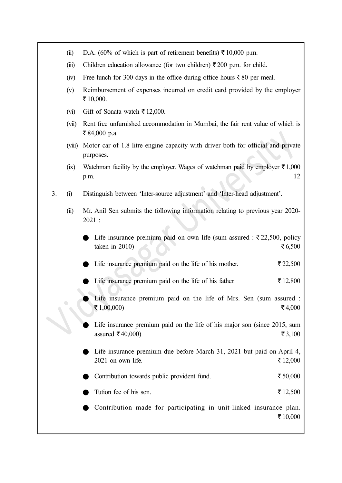- (ii) D.A. (60% of which is part of retirement benefits)  $\bar{\tau}$  10,000 p.m.
- (iii) Children education allowance (for two children)  $\bar{\tau}$  200 p.m. for child.
- (iv) Free lunch for 300 days in the office during office hours  $\bar{\tau}$  80 per meal.
- (v) Reimbursement of expenses incurred on credit card provided by the employer ₹10,000.
- (vi) Gift of Sonata watch  $\bar{\tau}$  12,000.
- (vii) Rent free unfurnished accommodation in Mumbai, the fair rent value of which is ₹84,000 p.a.
- (viii) Motor car of 1.8 litre engine capacity with driver both for official and private purposes.
- (ix) Watchman facility by the employer. Wages of watchman paid by employer  $\bar{\tau}$  1,000 p.m. 12
- 3. (i) Distinguish between 'Inter-source adjustment' and 'Inter-head adjustment'.
	- (ii) Mr. Anil Sen submits the following information relating to previous year 2020- 2021 :
		- Life insurance premium paid on own life (sum assured :  $\overline{\tau}$  22,500, policy taken in 2010)  $\sqrt[3]{6,500}$
		- Life insurance premium paid on the life of his mother.  $\bar{\epsilon}$  22,500
		- Life insurance premium paid on the life of his father.  $\bar{\tau}$  12,800
		- Life insurance premium paid on the life of Mrs. Sen (sum assured :  $\bar{x}$  1,00,000)  $\bar{x}$  4,000
		- Life insurance premium paid on the life of his major son (since 2015, sum assured ₹40,000)  $\zeta$ 3,100
		- Life insurance premium due before March 31, 2021 but paid on April 4,  $2021$  on own life.  $\sqrt{212,000}$
		- Contribution towards public provident fund.  $\bar{\epsilon}$  50,000
		- Tution fee of his son.  $\zeta$  12,500
		- Contribution made for participating in unit-linked insurance plan. ₹10,000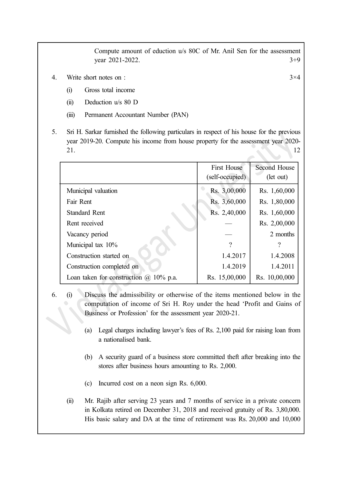Compute amount of eduction u/s 80C of Mr. Anil Sen for the assessment year 2021-2022. 3+9

- 4. Write short notes on : 3×4
	- (i) Gross total income
	- (ii) Deduction u/s 80 D
	- (iii) Permanent Accountant Number (PAN)
- 5. Sri H. Sarkar furnished the following particulars in respect of his house for the previous year 2019-20. Compute his income from house property for the assessment year 2020-  $21.$  12

|                                                  | <b>First House</b><br>(self-occupied) | Second House<br>(let out) |
|--------------------------------------------------|---------------------------------------|---------------------------|
| Municipal valuation                              | Rs. 3,00,000                          | Rs. 1,60,000              |
| Fair Rent                                        | Rs. 3,60,000                          | Rs. 1,80,000              |
| <b>Standard Rent</b>                             | Rs. 2,40,000                          | Rs. 1,60,000              |
| Rent received                                    |                                       | Rs. 2,00,000              |
| Vacancy period                                   |                                       | 2 months                  |
| Municipal tax 10%                                | $\gamma$                              | ?                         |
| Construction started on                          | 1.4.2017                              | 1.4.2008                  |
| Construction completed on                        | 1.4.2019                              | 1.4.2011                  |
| Loan taken for construction $(a)$<br>$10\%$ p.a. | Rs. 15,00,000                         | Rs. 10,00,000             |

- 6. (i) Discuss the admissibility or otherwise of the items mentioned below in the computation of income of Sri H. Roy under the head 'Profit and Gains of Business or Profession' for the assessment year 2020-21.
	- (a) Legal charges including lawyer's fees of Rs. 2,100 paid for raising loan from a nationalised bank.
	- (b) A security guard of a business store committed theft after breaking into the stores after business hours amounting to Rs. 2,000.
	- (c) Incurred cost on a neon sign Rs. 6,000.
	- (ii) Mr. Rajib after serving 23 years and 7 months of service in a private concern in Kolkata retired on December 31, 2018 and received gratuity of Rs. 3,80,000. His basic salary and DA at the time of retirement was Rs. 20,000 and 10,000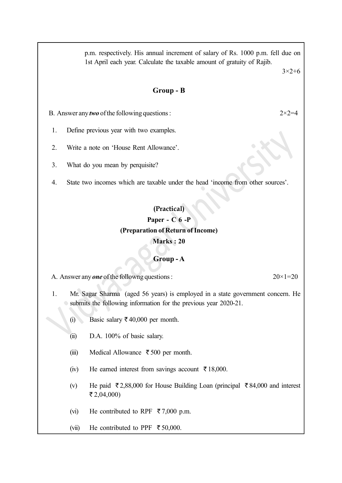p.m. respectively. His annual increment of salary of Rs. 1000 p.m. fell due on 1st April each year. Calculate the taxable amount of gratuity of Rajib.

3×2+6

#### Group - B

B. Answer any *two* of the following questions :  $2 \times 2 = 4$ 

- 1. Define previous year with two examples.
- 2. Write a note on 'House Rent Allowance'.
- 3. What do you mean by perquisite?
- 4. State two incomes which are taxable under the head 'income from other sources'.

### (Practical) Paper - C 6 -P (Preparation of Return of Income) Marks : 20

#### Group - A

A. Answer any **one** of the followng questions :  $20 \times 1 = 20$ 

1. Mr. Sagar Sharma (aged 56 years) is employed in a state government concern. He submits the following information for the previous year 2020-21.

- (i) Basic salary  $\bar{\tau}$  40,000 per month.
- (ii) D.A. 100% of basic salary.
- (iii) Medical Allowance  $\bar{\tau}$  500 per month.
- (iv) He earned interest from savings account  $\bar{\tau}$  18,000.
- (v) He paid  $\bar{\tau}$  2,88,000 for House Building Loan (principal  $\bar{\tau}$  84,000 and interest ₹2,04,000)
- (vi) He contributed to RPF  $\bar{\tau}$  7,000 p.m.
- (vii) He contributed to PPF  $\bar{\tau}$  50,000.